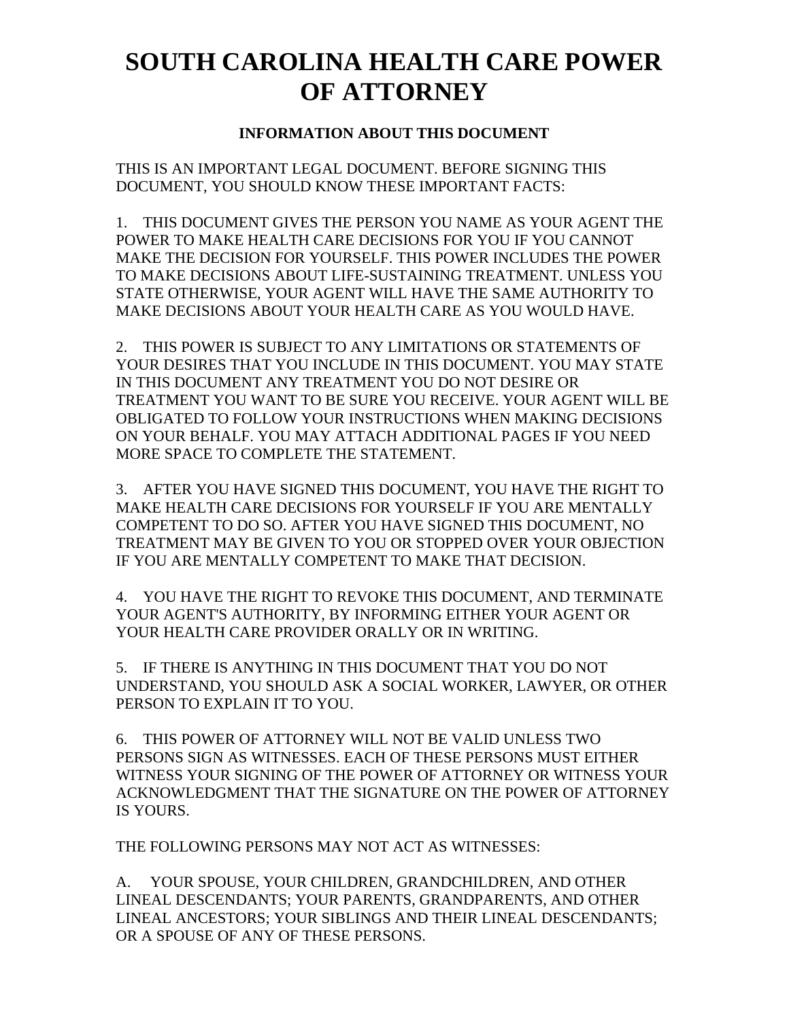# **SOUTH CAROLINA HEALTH CARE POWER OF ATTORNEY**

#### **INFORMATION ABOUT THIS DOCUMENT**

THIS IS AN IMPORTANT LEGAL DOCUMENT. BEFORE SIGNING THIS DOCUMENT, YOU SHOULD KNOW THESE IMPORTANT FACTS:

1. THIS DOCUMENT GIVES THE PERSON YOU NAME AS YOUR AGENT THE POWER TO MAKE HEALTH CARE DECISIONS FOR YOU IF YOU CANNOT MAKE THE DECISION FOR YOURSELF. THIS POWER INCLUDES THE POWER TO MAKE DECISIONS ABOUT LIFE-SUSTAINING TREATMENT. UNLESS YOU STATE OTHERWISE, YOUR AGENT WILL HAVE THE SAME AUTHORITY TO MAKE DECISIONS ABOUT YOUR HEALTH CARE AS YOU WOULD HAVE.

2. THIS POWER IS SUBJECT TO ANY LIMITATIONS OR STATEMENTS OF YOUR DESIRES THAT YOU INCLUDE IN THIS DOCUMENT. YOU MAY STATE IN THIS DOCUMENT ANY TREATMENT YOU DO NOT DESIRE OR TREATMENT YOU WANT TO BE SURE YOU RECEIVE. YOUR AGENT WILL BE OBLIGATED TO FOLLOW YOUR INSTRUCTIONS WHEN MAKING DECISIONS ON YOUR BEHALF. YOU MAY ATTACH ADDITIONAL PAGES IF YOU NEED MORE SPACE TO COMPLETE THE STATEMENT.

3. AFTER YOU HAVE SIGNED THIS DOCUMENT, YOU HAVE THE RIGHT TO MAKE HEALTH CARE DECISIONS FOR YOURSELF IF YOU ARE MENTALLY COMPETENT TO DO SO. AFTER YOU HAVE SIGNED THIS DOCUMENT, NO TREATMENT MAY BE GIVEN TO YOU OR STOPPED OVER YOUR OBJECTION IF YOU ARE MENTALLY COMPETENT TO MAKE THAT DECISION.

4. YOU HAVE THE RIGHT TO REVOKE THIS DOCUMENT, AND TERMINATE YOUR AGENT'S AUTHORITY, BY INFORMING EITHER YOUR AGENT OR YOUR HEALTH CARE PROVIDER ORALLY OR IN WRITING.

5. IF THERE IS ANYTHING IN THIS DOCUMENT THAT YOU DO NOT UNDERSTAND, YOU SHOULD ASK A SOCIAL WORKER, LAWYER, OR OTHER PERSON TO EXPLAIN IT TO YOU.

6. THIS POWER OF ATTORNEY WILL NOT BE VALID UNLESS TWO PERSONS SIGN AS WITNESSES. EACH OF THESE PERSONS MUST EITHER WITNESS YOUR SIGNING OF THE POWER OF ATTORNEY OR WITNESS YOUR ACKNOWLEDGMENT THAT THE SIGNATURE ON THE POWER OF ATTORNEY IS YOURS.

THE FOLLOWING PERSONS MAY NOT ACT AS WITNESSES:

A. YOUR SPOUSE, YOUR CHILDREN, GRANDCHILDREN, AND OTHER LINEAL DESCENDANTS; YOUR PARENTS, GRANDPARENTS, AND OTHER LINEAL ANCESTORS; YOUR SIBLINGS AND THEIR LINEAL DESCENDANTS; OR A SPOUSE OF ANY OF THESE PERSONS.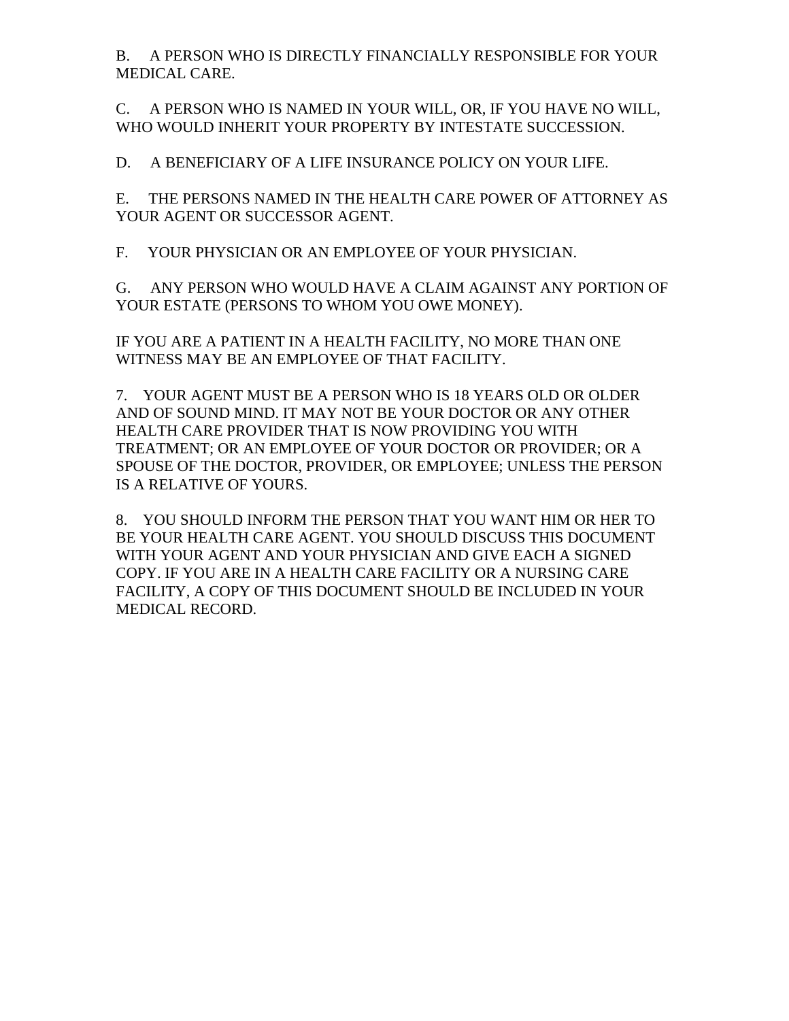B. A PERSON WHO IS DIRECTLY FINANCIALLY RESPONSIBLE FOR YOUR MEDICAL CARE.

C. A PERSON WHO IS NAMED IN YOUR WILL, OR, IF YOU HAVE NO WILL, WHO WOULD INHERIT YOUR PROPERTY BY INTESTATE SUCCESSION.

D. A BENEFICIARY OF A LIFE INSURANCE POLICY ON YOUR LIFE.

E. THE PERSONS NAMED IN THE HEALTH CARE POWER OF ATTORNEY AS YOUR AGENT OR SUCCESSOR AGENT.

F. YOUR PHYSICIAN OR AN EMPLOYEE OF YOUR PHYSICIAN.

G. ANY PERSON WHO WOULD HAVE A CLAIM AGAINST ANY PORTION OF YOUR ESTATE (PERSONS TO WHOM YOU OWE MONEY).

IF YOU ARE A PATIENT IN A HEALTH FACILITY, NO MORE THAN ONE WITNESS MAY BE AN EMPLOYEE OF THAT FACILITY.

7. YOUR AGENT MUST BE A PERSON WHO IS 18 YEARS OLD OR OLDER AND OF SOUND MIND. IT MAY NOT BE YOUR DOCTOR OR ANY OTHER HEALTH CARE PROVIDER THAT IS NOW PROVIDING YOU WITH TREATMENT; OR AN EMPLOYEE OF YOUR DOCTOR OR PROVIDER; OR A SPOUSE OF THE DOCTOR, PROVIDER, OR EMPLOYEE; UNLESS THE PERSON IS A RELATIVE OF YOURS.

8. YOU SHOULD INFORM THE PERSON THAT YOU WANT HIM OR HER TO BE YOUR HEALTH CARE AGENT. YOU SHOULD DISCUSS THIS DOCUMENT WITH YOUR AGENT AND YOUR PHYSICIAN AND GIVE EACH A SIGNED COPY. IF YOU ARE IN A HEALTH CARE FACILITY OR A NURSING CARE FACILITY, A COPY OF THIS DOCUMENT SHOULD BE INCLUDED IN YOUR MEDICAL RECORD.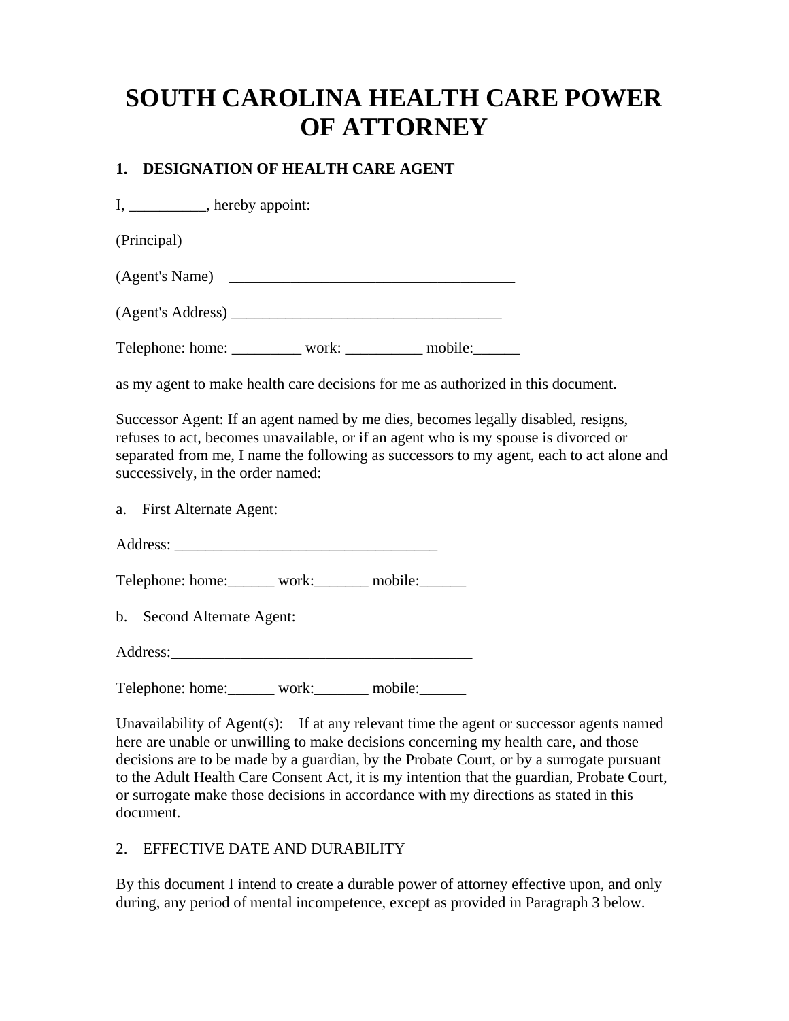# **SOUTH CAROLINA HEALTH CARE POWER OF ATTORNEY**

## **1. DESIGNATION OF HEALTH CARE AGENT**

I, \_\_\_\_\_\_\_\_\_\_, hereby appoint:

(Principal)

(Agent's Name) \_\_\_\_\_\_\_\_\_\_\_\_\_\_\_\_\_\_\_\_\_\_\_\_\_\_\_\_\_\_\_\_\_\_\_\_\_

(Agent's Address) \_\_\_\_\_\_\_\_\_\_\_\_\_\_\_\_\_\_\_\_\_\_\_\_\_\_\_\_\_\_\_\_\_\_\_

Telephone: home: work: \_\_\_\_\_\_\_ mobile:

as my agent to make health care decisions for me as authorized in this document.

Successor Agent: If an agent named by me dies, becomes legally disabled, resigns, refuses to act, becomes unavailable, or if an agent who is my spouse is divorced or separated from me, I name the following as successors to my agent, each to act alone and successively, in the order named:

a. First Alternate Agent:

Address: \_\_\_\_\_\_\_\_\_\_\_\_\_\_\_\_\_\_\_\_\_\_\_\_\_\_\_\_\_\_\_\_\_\_

Telephone: home: work: mobile:

b. Second Alternate Agent:

Address:

Telephone: home: work: mobile:

Unavailability of Agent(s): If at any relevant time the agent or successor agents named here are unable or unwilling to make decisions concerning my health care, and those decisions are to be made by a guardian, by the Probate Court, or by a surrogate pursuant to the Adult Health Care Consent Act, it is my intention that the guardian, Probate Court, or surrogate make those decisions in accordance with my directions as stated in this document.

## 2. EFFECTIVE DATE AND DURABILITY

By this document I intend to create a durable power of attorney effective upon, and only during, any period of mental incompetence, except as provided in Paragraph 3 below.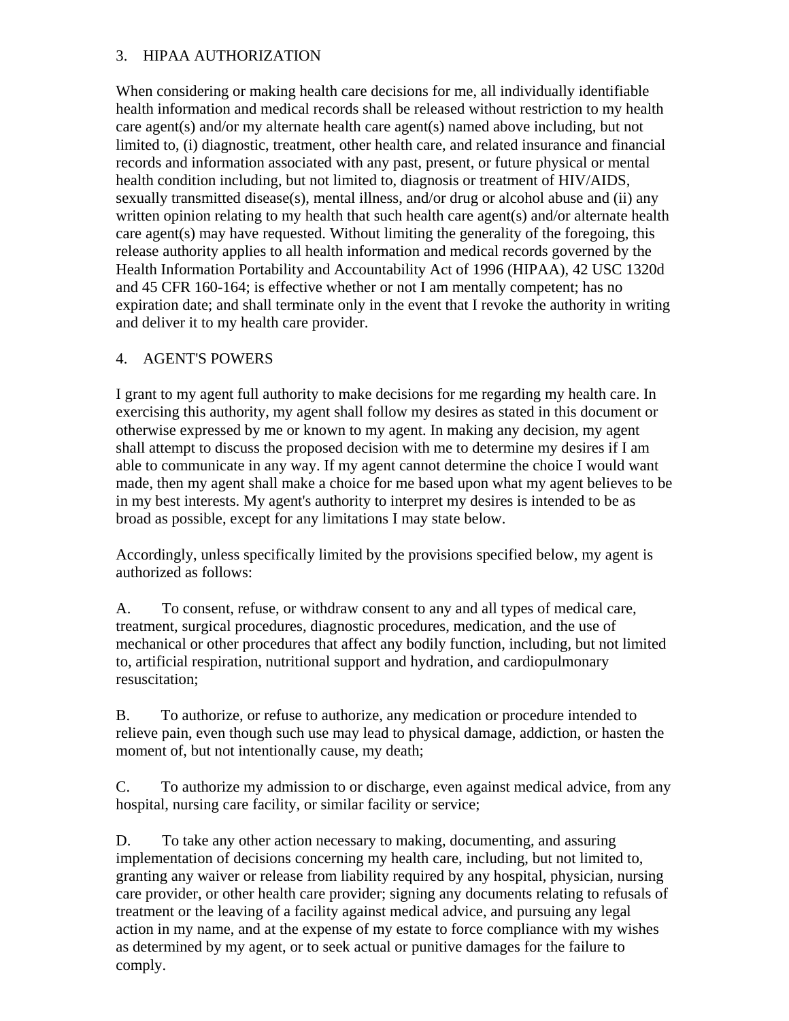## 3. HIPAA AUTHORIZATION

When considering or making health care decisions for me, all individually identifiable health information and medical records shall be released without restriction to my health care agent(s) and/or my alternate health care agent(s) named above including, but not limited to, (i) diagnostic, treatment, other health care, and related insurance and financial records and information associated with any past, present, or future physical or mental health condition including, but not limited to, diagnosis or treatment of HIV/AIDS, sexually transmitted disease(s), mental illness, and/or drug or alcohol abuse and (ii) any written opinion relating to my health that such health care agent(s) and/or alternate health care agent(s) may have requested. Without limiting the generality of the foregoing, this release authority applies to all health information and medical records governed by the Health Information Portability and Accountability Act of 1996 (HIPAA), 42 USC 1320d and 45 CFR 160-164; is effective whether or not I am mentally competent; has no expiration date; and shall terminate only in the event that I revoke the authority in writing and deliver it to my health care provider.

## 4. AGENT'S POWERS

I grant to my agent full authority to make decisions for me regarding my health care. In exercising this authority, my agent shall follow my desires as stated in this document or otherwise expressed by me or known to my agent. In making any decision, my agent shall attempt to discuss the proposed decision with me to determine my desires if I am able to communicate in any way. If my agent cannot determine the choice I would want made, then my agent shall make a choice for me based upon what my agent believes to be in my best interests. My agent's authority to interpret my desires is intended to be as broad as possible, except for any limitations I may state below.

Accordingly, unless specifically limited by the provisions specified below, my agent is authorized as follows:

A. To consent, refuse, or withdraw consent to any and all types of medical care, treatment, surgical procedures, diagnostic procedures, medication, and the use of mechanical or other procedures that affect any bodily function, including, but not limited to, artificial respiration, nutritional support and hydration, and cardiopulmonary resuscitation;

B. To authorize, or refuse to authorize, any medication or procedure intended to relieve pain, even though such use may lead to physical damage, addiction, or hasten the moment of, but not intentionally cause, my death;

C. To authorize my admission to or discharge, even against medical advice, from any hospital, nursing care facility, or similar facility or service;

D. To take any other action necessary to making, documenting, and assuring implementation of decisions concerning my health care, including, but not limited to, granting any waiver or release from liability required by any hospital, physician, nursing care provider, or other health care provider; signing any documents relating to refusals of treatment or the leaving of a facility against medical advice, and pursuing any legal action in my name, and at the expense of my estate to force compliance with my wishes as determined by my agent, or to seek actual or punitive damages for the failure to comply.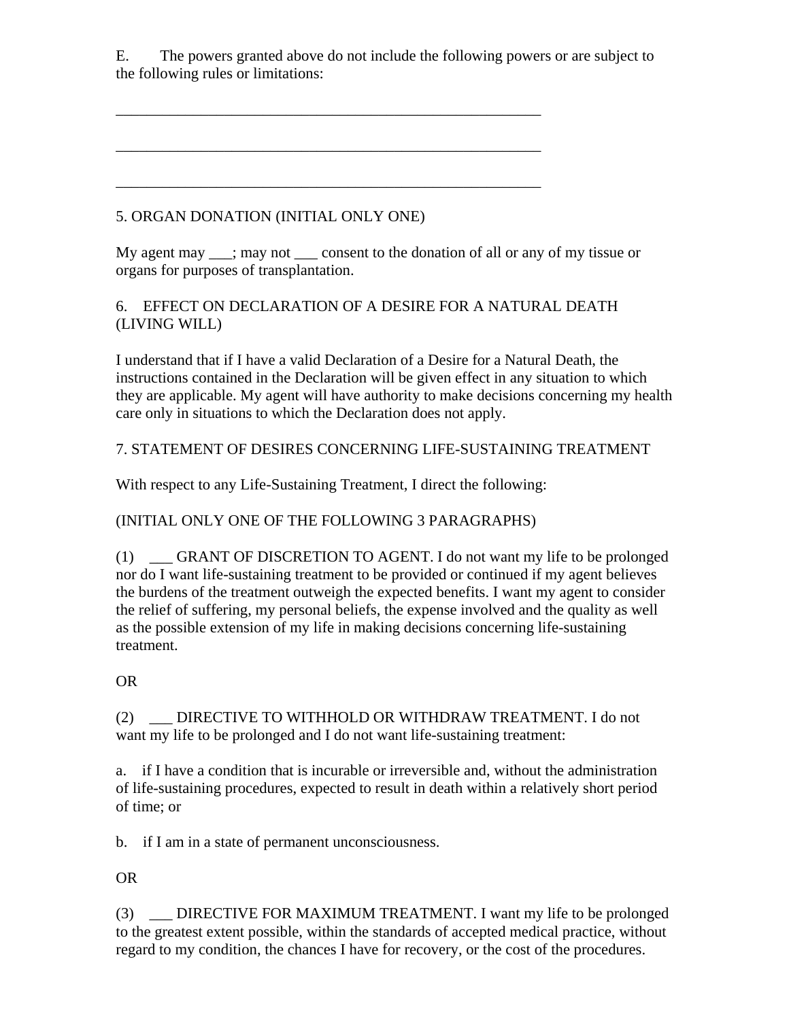E. The powers granted above do not include the following powers or are subject to the following rules or limitations:

\_\_\_\_\_\_\_\_\_\_\_\_\_\_\_\_\_\_\_\_\_\_\_\_\_\_\_\_\_\_\_\_\_\_\_\_\_\_\_\_\_\_\_\_\_\_\_\_\_\_\_\_\_\_\_

\_\_\_\_\_\_\_\_\_\_\_\_\_\_\_\_\_\_\_\_\_\_\_\_\_\_\_\_\_\_\_\_\_\_\_\_\_\_\_\_\_\_\_\_\_\_\_\_\_\_\_\_\_\_\_

\_\_\_\_\_\_\_\_\_\_\_\_\_\_\_\_\_\_\_\_\_\_\_\_\_\_\_\_\_\_\_\_\_\_\_\_\_\_\_\_\_\_\_\_\_\_\_\_\_\_\_\_\_\_\_

# 5. ORGAN DONATION (INITIAL ONLY ONE)

My agent may \_\_\_; may not \_\_\_\_ consent to the donation of all or any of my tissue or organs for purposes of transplantation.

## 6. EFFECT ON DECLARATION OF A DESIRE FOR A NATURAL DEATH (LIVING WILL)

I understand that if I have a valid Declaration of a Desire for a Natural Death, the instructions contained in the Declaration will be given effect in any situation to which they are applicable. My agent will have authority to make decisions concerning my health care only in situations to which the Declaration does not apply.

# 7. STATEMENT OF DESIRES CONCERNING LIFE-SUSTAINING TREATMENT

With respect to any Life-Sustaining Treatment, I direct the following:

## (INITIAL ONLY ONE OF THE FOLLOWING 3 PARAGRAPHS)

(1) \_\_\_ GRANT OF DISCRETION TO AGENT. I do not want my life to be prolonged nor do I want life-sustaining treatment to be provided or continued if my agent believes the burdens of the treatment outweigh the expected benefits. I want my agent to consider the relief of suffering, my personal beliefs, the expense involved and the quality as well as the possible extension of my life in making decisions concerning life-sustaining treatment.

## OR

(2) \_\_\_ DIRECTIVE TO WITHHOLD OR WITHDRAW TREATMENT. I do not want my life to be prolonged and I do not want life-sustaining treatment:

a. if I have a condition that is incurable or irreversible and, without the administration of life-sustaining procedures, expected to result in death within a relatively short period of time; or

b. if I am in a state of permanent unconsciousness.

OR

(3) \_\_\_ DIRECTIVE FOR MAXIMUM TREATMENT. I want my life to be prolonged to the greatest extent possible, within the standards of accepted medical practice, without regard to my condition, the chances I have for recovery, or the cost of the procedures.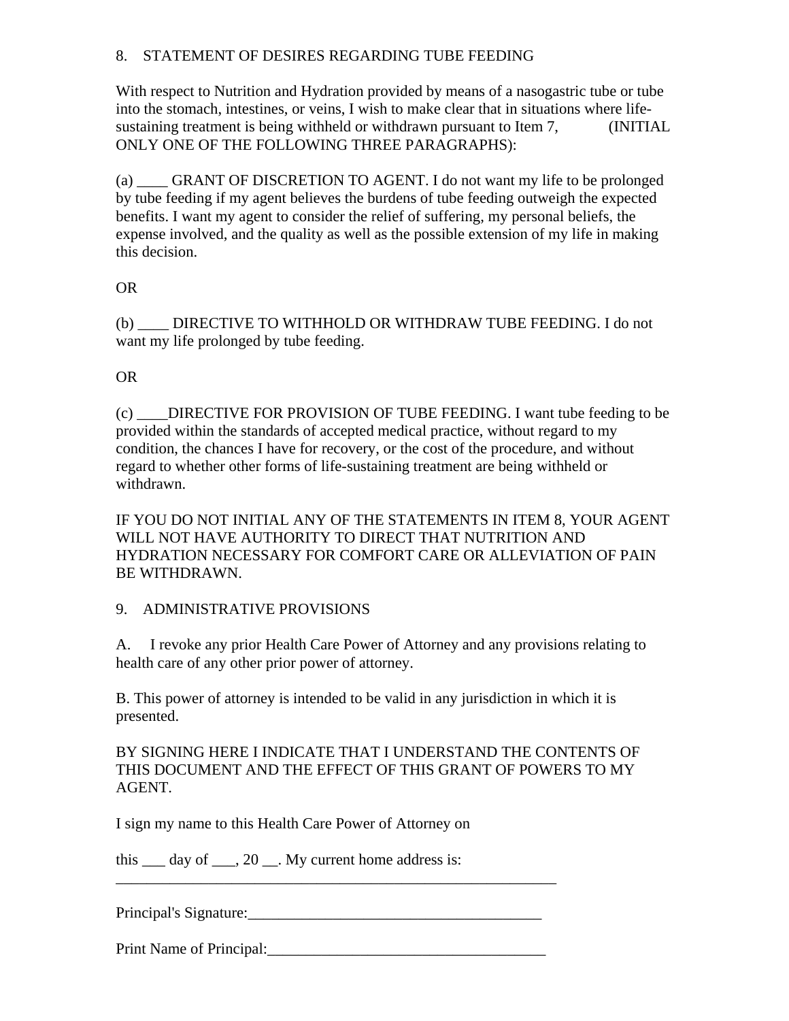#### 8. STATEMENT OF DESIRES REGARDING TUBE FEEDING

With respect to Nutrition and Hydration provided by means of a nasogastric tube or tube into the stomach, intestines, or veins, I wish to make clear that in situations where lifesustaining treatment is being withheld or withdrawn pursuant to Item 7, (INITIAL ONLY ONE OF THE FOLLOWING THREE PARAGRAPHS):

(a) \_\_\_\_ GRANT OF DISCRETION TO AGENT. I do not want my life to be prolonged by tube feeding if my agent believes the burdens of tube feeding outweigh the expected benefits. I want my agent to consider the relief of suffering, my personal beliefs, the expense involved, and the quality as well as the possible extension of my life in making this decision.

#### OR

(b) \_\_\_\_ DIRECTIVE TO WITHHOLD OR WITHDRAW TUBE FEEDING. I do not want my life prolonged by tube feeding.

#### OR

(c) \_\_\_\_DIRECTIVE FOR PROVISION OF TUBE FEEDING. I want tube feeding to be provided within the standards of accepted medical practice, without regard to my condition, the chances I have for recovery, or the cost of the procedure, and without regard to whether other forms of life-sustaining treatment are being withheld or withdrawn.

IF YOU DO NOT INITIAL ANY OF THE STATEMENTS IN ITEM 8, YOUR AGENT WILL NOT HAVE AUTHORITY TO DIRECT THAT NUTRITION AND HYDRATION NECESSARY FOR COMFORT CARE OR ALLEVIATION OF PAIN BE WITHDRAWN.

## 9. ADMINISTRATIVE PROVISIONS

A. I revoke any prior Health Care Power of Attorney and any provisions relating to health care of any other prior power of attorney.

B. This power of attorney is intended to be valid in any jurisdiction in which it is presented.

BY SIGNING HERE I INDICATE THAT I UNDERSTAND THE CONTENTS OF THIS DOCUMENT AND THE EFFECT OF THIS GRANT OF POWERS TO MY AGENT.

I sign my name to this Health Care Power of Attorney on

this  $\frac{day}{x}$  day of  $\frac{1}{x}$ , 20  $\frac{dy}{dx}$ . My current home address is:

Principal's Signature:\_\_\_\_\_\_\_\_\_\_\_\_\_\_\_\_\_\_\_\_\_\_\_\_\_\_\_\_\_\_\_\_\_\_\_\_\_\_

\_\_\_\_\_\_\_\_\_\_\_\_\_\_\_\_\_\_\_\_\_\_\_\_\_\_\_\_\_\_\_\_\_\_\_\_\_\_\_\_\_\_\_\_\_\_\_\_\_\_\_\_\_\_\_\_\_

Print Name of Principal: